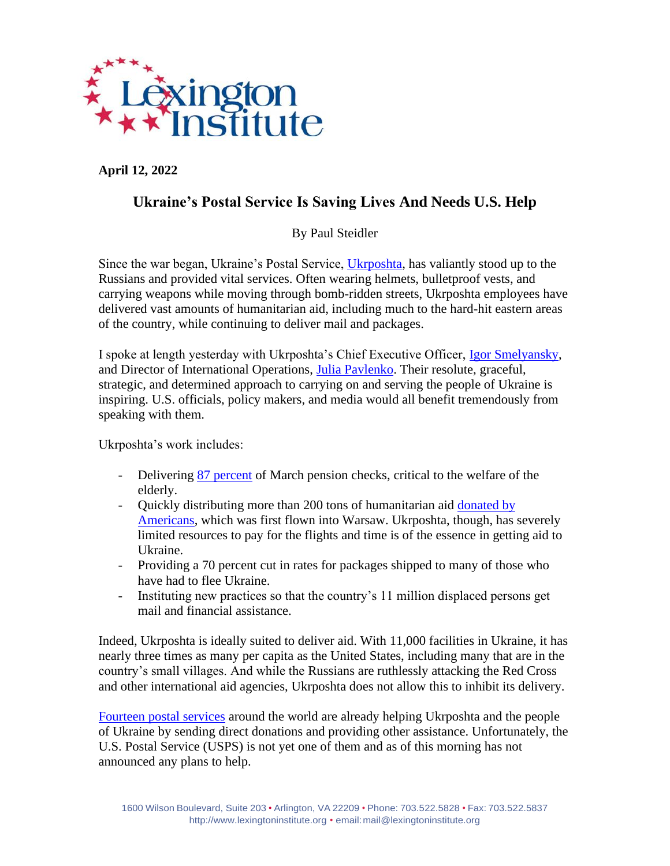

**April 12, 2022**

## **Ukraine's Postal Service Is Saving Lives And Needs U.S. Help**

By Paul Steidler

Since the war began, Ukraine's Postal Service, [Ukrposhta,](https://www.ukrposhta.ua/en) has valiantly stood up to the Russians and provided vital services. Often wearing helmets, bulletproof vests, and carrying weapons while moving through bomb-ridden streets, Ukrposhta employees have delivered vast amounts of humanitarian aid, including much to the hard-hit eastern areas of the country, while continuing to deliver mail and packages.

I spoke at length yesterday with Ukrposhta's Chief Executive Officer, [Igor Smelyansky,](https://www.linkedin.com/in/igor-smelyansky-37898a/) and Director of International Operations, [Julia Pavlenko.](https://www.linkedin.com/in/julia-pavlenko-22a08524/?originalSubdomain=ua) Their resolute, graceful, strategic, and determined approach to carrying on and serving the people of Ukraine is inspiring. U.S. officials, policy makers, and media would all benefit tremendously from speaking with them.

Ukrposhta's work includes:

- Delivering [87 percent](https://www.youtube.com/watch?v=NJ-y_1KCg6c) of March pension checks, critical to the welfare of the elderly.
- Quickly distributing more than 200 tons of humanitarian aid donated by [Americans,](https://www.ukrposhta.ua/en/delivery-of-humanitarian-aid-for-ukraine) which was first flown into Warsaw. Ukrposhta, though, has severely limited resources to pay for the flights and time is of the essence in getting aid to Ukraine.
- Providing a 70 percent cut in rates for packages shipped to many of those who have had to flee Ukraine.
- Instituting new practices so that the country's 11 million displaced persons get mail and financial assistance.

Indeed, Ukrposhta is ideally suited to deliver aid. With 11,000 facilities in Ukraine, it has nearly three times as many per capita as the United States, including many that are in the country's small villages. And while the Russians are ruthlessly attacking the Red Cross and other international aid agencies, Ukrposhta does not allow this to inhibit its delivery.

[Fourteen postal services](https://www.upu.int/en/Members-Centre/Postal-solidarity-in-action) around the world are already helping Ukrposhta and the people of Ukraine by sending direct donations and providing other assistance. Unfortunately, the U.S. Postal Service (USPS) is not yet one of them and as of this morning has not announced any plans to help.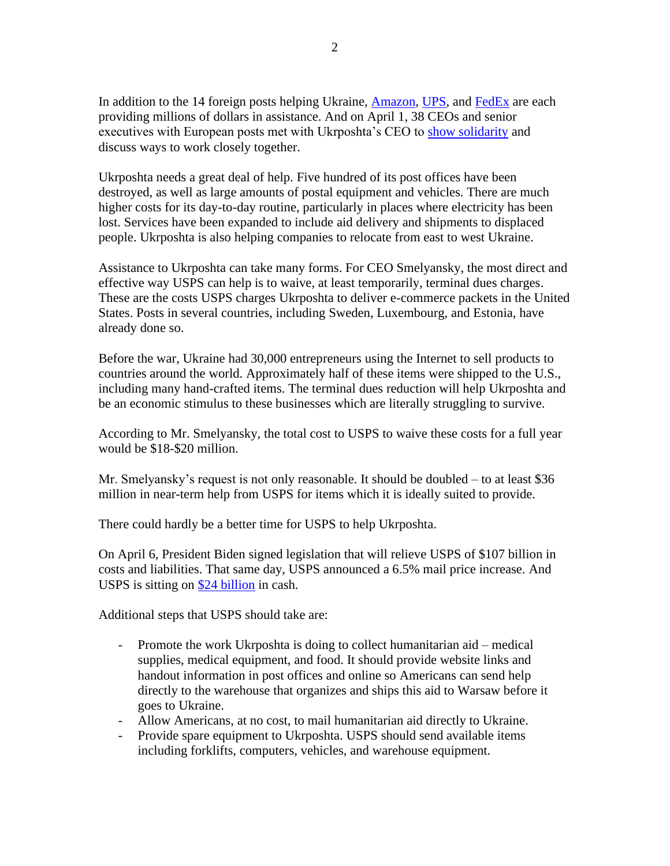In addition to the 14 foreign posts helping Ukraine, [Amazon,](https://www.aboutamazon.com/news/community/amazons-assistance-in-ukraine) [UPS,](https://about.ups.com/us/en/social-impact/the-ups-foundation/health-humanitarian-relief/ups-response-on-the-crisis-in-ukraine.html) and [FedEx](https://fedexcares.com/stories/delivering-good/fedex-providing-over-15-million-support-ukraine-relief-efforts) are each providing millions of dollars in assistance. And on April 1, 38 CEOs and senior executives with European posts met with Ukrposhta's CEO to [show solidarity](http://pr.euractiv.com/pr/solidarity-movement-ceos-european-postal-operators-war-ukraine-231437) and discuss ways to work closely together.

Ukrposhta needs a great deal of help. Five hundred of its post offices have been destroyed, as well as large amounts of postal equipment and vehicles. There are much higher costs for its day-to-day routine, particularly in places where electricity has been lost. Services have been expanded to include aid delivery and shipments to displaced people. Ukrposhta is also helping companies to relocate from east to west Ukraine.

Assistance to Ukrposhta can take many forms. For CEO Smelyansky, the most direct and effective way USPS can help is to waive, at least temporarily, terminal dues charges. These are the costs USPS charges Ukrposhta to deliver e-commerce packets in the United States. Posts in several countries, including Sweden, Luxembourg, and Estonia, have already done so.

Before the war, Ukraine had 30,000 entrepreneurs using the Internet to sell products to countries around the world. Approximately half of these items were shipped to the U.S., including many hand-crafted items. The terminal dues reduction will help Ukrposhta and be an economic stimulus to these businesses which are literally struggling to survive.

According to Mr. Smelyansky, the total cost to USPS to waive these costs for a full year would be \$18-\$20 million.

Mr. Smelyansky's request is not only reasonable. It should be doubled – to at least \$36 million in near-term help from USPS for items which it is ideally suited to provide.

There could hardly be a better time for USPS to help Ukrposhta.

On April 6, President Biden signed legislation that will relieve USPS of \$107 billion in costs and liabilities. That same day, USPS announced a 6.5% mail price increase. And USPS is sitting on [\\$24 billion](https://www.treasurydirect.gov/govt/reports/pd/mspd/2022/opdm022022.pdf) in cash.

Additional steps that USPS should take are:

- Promote the work Ukrposhta is doing to collect humanitarian aid medical supplies, medical equipment, and food. It should provide website links and handout information in post offices and online so Americans can send help directly to the warehouse that organizes and ships this aid to Warsaw before it goes to Ukraine.
- Allow Americans, at no cost, to mail humanitarian aid directly to Ukraine.
- Provide spare equipment to Ukrposhta. USPS should send available items including forklifts, computers, vehicles, and warehouse equipment.